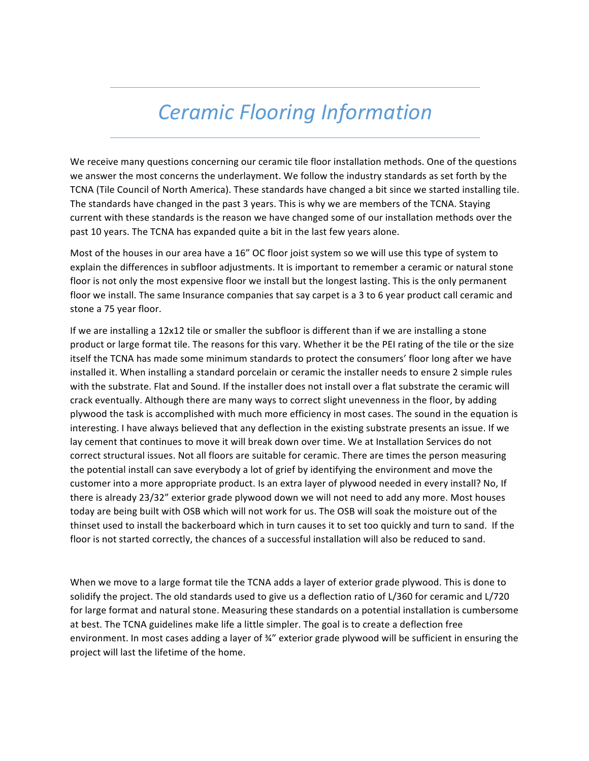## *Ceramic Flooring Information*

We receive many questions concerning our ceramic tile floor installation methods. One of the questions we answer the most concerns the underlayment. We follow the industry standards as set forth by the TCNA (Tile Council of North America). These standards have changed a bit since we started installing tile. The standards have changed in the past 3 years. This is why we are members of the TCNA. Staying current with these standards is the reason we have changed some of our installation methods over the past 10 years. The TCNA has expanded quite a bit in the last few years alone.

Most of the houses in our area have a 16" OC floor joist system so we will use this type of system to explain the differences in subfloor adjustments. It is important to remember a ceramic or natural stone floor is not only the most expensive floor we install but the longest lasting. This is the only permanent floor we install. The same Insurance companies that say carpet is a 3 to 6 year product call ceramic and stone a 75 year floor.

If we are installing a 12x12 tile or smaller the subfloor is different than if we are installing a stone product or large format tile. The reasons for this vary. Whether it be the PEI rating of the tile or the size itself the TCNA has made some minimum standards to protect the consumers' floor long after we have installed it. When installing a standard porcelain or ceramic the installer needs to ensure 2 simple rules with the substrate. Flat and Sound. If the installer does not install over a flat substrate the ceramic will crack eventually. Although there are many ways to correct slight unevenness in the floor, by adding plywood the task is accomplished with much more efficiency in most cases. The sound in the equation is interesting. I have always believed that any deflection in the existing substrate presents an issue. If we lay cement that continues to move it will break down over time. We at Installation Services do not correct structural issues. Not all floors are suitable for ceramic. There are times the person measuring the potential install can save everybody a lot of grief by identifying the environment and move the customer into a more appropriate product. Is an extra layer of plywood needed in every install? No, If there is already 23/32" exterior grade plywood down we will not need to add any more. Most houses today are being built with OSB which will not work for us. The OSB will soak the moisture out of the thinset used to install the backerboard which in turn causes it to set too quickly and turn to sand. If the floor is not started correctly, the chances of a successful installation will also be reduced to sand.

When we move to a large format tile the TCNA adds a layer of exterior grade plywood. This is done to solidify the project. The old standards used to give us a deflection ratio of L/360 for ceramic and L/720 for large format and natural stone. Measuring these standards on a potential installation is cumbersome at best. The TCNA guidelines make life a little simpler. The goal is to create a deflection free environment. In most cases adding a layer of ¾" exterior grade plywood will be sufficient in ensuring the project will last the lifetime of the home.